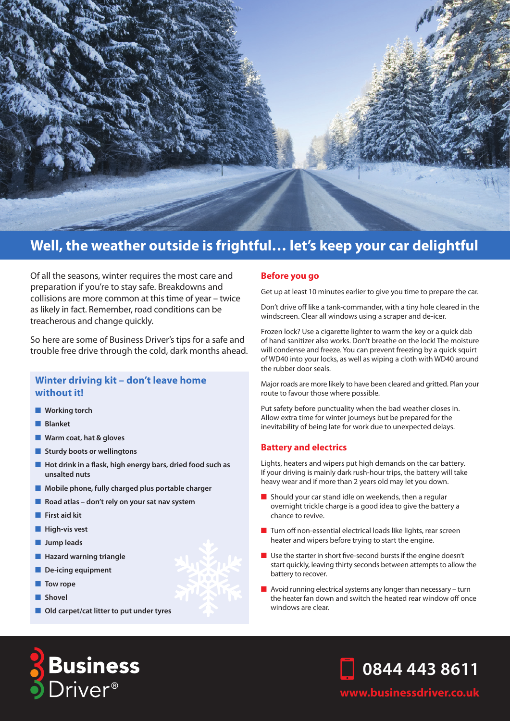

# **Well, the weather outside is frightful… let's keep your car delightful**

Of all the seasons, winter requires the most care and preparation if you're to stay safe. Breakdowns and collisions are more common at this time of year – twice as likely in fact. Remember, road conditions can be treacherous and change quickly.

So here are some of Business Driver's tips for a safe and trouble free drive through the cold, dark months ahead.

# **Winter driving kit – don't leave home without it!**

- **Norking torch**
- n **Blanket**
- **N** Warm coat, hat & gloves
- **n** Sturdy boots or wellingtons
- Hot drink in a flask, high energy bars, dried food such as **unsalted nuts**
- **n** Mobile phone, fully charged plus portable charger
- **n** Road atlas don't rely on your sat nav system
- **First aid kit**
- **n** High-vis vest
- **n** Jump leads
- **Hazard warning triangle**
- **n** De-icing equipment
- **n** Tow rope
- n **Shovel**
- **n** Old carpet/cat litter to put under tyres

#### **Before you go**

Get up at least 10 minutes earlier to give you time to prepare the car.

Don't drive off like a tank-commander, with a tiny hole cleared in the windscreen. Clear all windows using a scraper and de-icer.

Frozen lock? Use a cigarette lighter to warm the key or a quick dab of hand sanitizer also works. Don't breathe on the lock! The moisture will condense and freeze. You can prevent freezing by a quick squirt of WD40 into your locks, as well as wiping a cloth with WD40 around the rubber door seals.

Major roads are more likely to have been cleared and gritted. Plan your route to favour those where possible.

Put safety before punctuality when the bad weather closes in. Allow extra time for winter journeys but be prepared for the inevitability of being late for work due to unexpected delays.

#### **Battery and electrics**

Lights, heaters and wipers put high demands on the car battery. If your driving is mainly dark rush-hour trips, the battery will take heavy wear and if more than 2 years old may let you down.

- $\blacksquare$  Should your car stand idle on weekends, then a regular overnight trickle charge is a good idea to give the battery a chance to revive.
- $\blacksquare$  Turn off non-essential electrical loads like lights, rear screen heater and wipers before trying to start the engine.
- $\blacksquare$  Use the starter in short five-second bursts if the engine doesn't start quickly, leaving thirty seconds between attempts to allow the battery to recover.
- $\blacksquare$  Avoid running electrical systems any longer than necessary turn the heater fan down and switch the heated rear window off once windows are clear.



**www.businessdriver.co.uk**

**0844 443 8611**